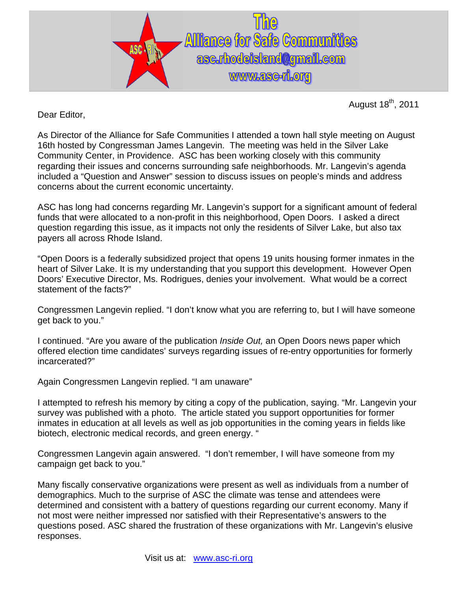

August  $18<sup>th</sup>$ , 2011

Dear Editor,

As Director of the Alliance for Safe Communities I attended a town hall style meeting on August 16th hosted by Congressman James Langevin. The meeting was held in the Silver Lake Community Center, in Providence. ASC has been working closely with this community regarding their issues and concerns surrounding safe neighborhoods. Mr. Langevin's agenda included a "Question and Answer" session to discuss issues on people's minds and address concerns about the current economic uncertainty.

ASC has long had concerns regarding Mr. Langevin's support for a significant amount of federal funds that were allocated to a non-profit in this neighborhood, Open Doors. I asked a direct question regarding this issue, as it impacts not only the residents of Silver Lake, but also tax payers all across Rhode Island.

"Open Doors is a federally subsidized project that opens 19 units housing former inmates in the heart of Silver Lake. It is my understanding that you support this development. However Open Doors' Executive Director, Ms. Rodrigues, denies your involvement. What would be a correct statement of the facts?"

Congressmen Langevin replied. "I don't know what you are referring to, but I will have someone get back to you."

I continued. "Are you aware of the publication *Inside Out,* an Open Doors news paper which offered election time candidates' surveys regarding issues of re-entry opportunities for formerly incarcerated?"

Again Congressmen Langevin replied. "I am unaware"

I attempted to refresh his memory by citing a copy of the publication, saying. "Mr. Langevin your survey was published with a photo. The article stated you support opportunities for former inmates in education at all levels as well as job opportunities in the coming years in fields like biotech, electronic medical records, and green energy. "

Congressmen Langevin again answered. "I don't remember, I will have someone from my campaign get back to you."

Many fiscally conservative organizations were present as well as individuals from a number of demographics. Much to the surprise of ASC the climate was tense and attendees were determined and consistent with a battery of questions regarding our current economy. Many if not most were neither impressed nor satisfied with their Representative's answers to the questions posed. ASC shared the frustration of these organizations with Mr. Langevin's elusive responses.